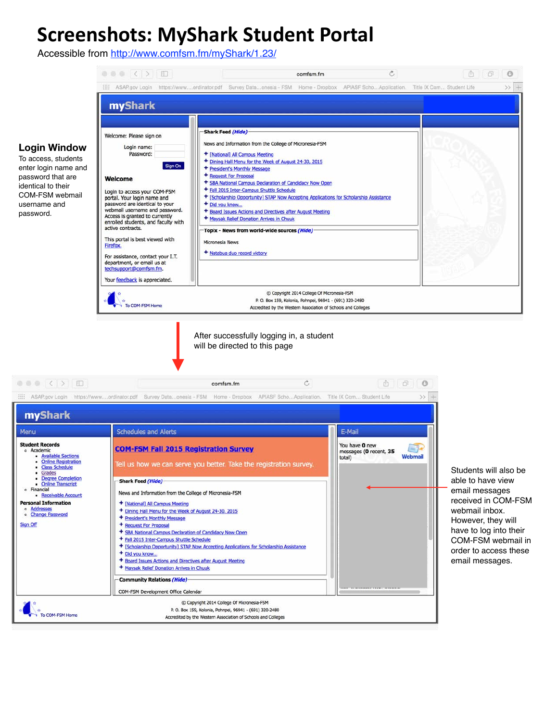# **Screenshots: MyShark Student Portal**

Accessible from <http://www.comfsm.fm/myShark/1.23/>

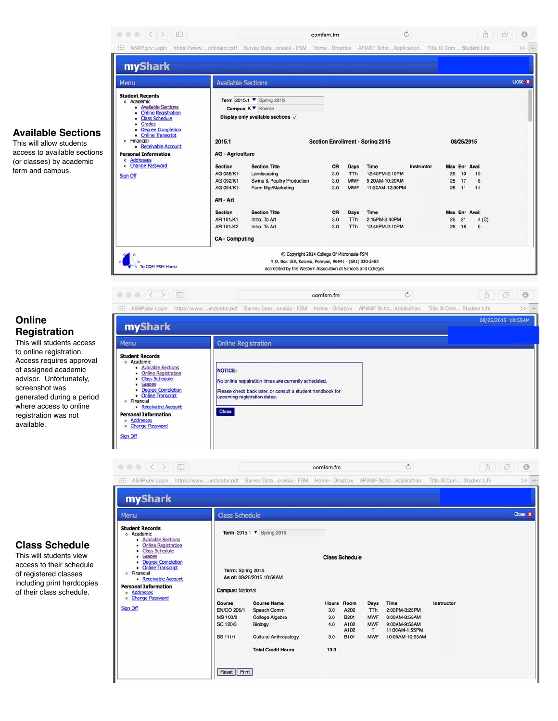

## **Online Registration**

This will students access to online registration. Access requires approval of assigned academic advisor. Unfortunately, screenshot was generated during a period where access to online registration was not available.



comfsm.fm

 $\circ$ 

### **Class Schedule**

This will students view access to their schedule of registered classes including print hardcopies of their class schedule.

| Menu                                                                                                                                                                                                                                                                                                         | <b>Class Schedule</b>                                                                            |                                                                                                                               |                                  |                                                                         |                                                            |                                                                                              |            |  |  |  |  |  |
|--------------------------------------------------------------------------------------------------------------------------------------------------------------------------------------------------------------------------------------------------------------------------------------------------------------|--------------------------------------------------------------------------------------------------|-------------------------------------------------------------------------------------------------------------------------------|----------------------------------|-------------------------------------------------------------------------|------------------------------------------------------------|----------------------------------------------------------------------------------------------|------------|--|--|--|--|--|
| <b>Student Records</b><br>o Academic<br>- Available Sections<br>• Online Registration<br>• Class Schedule<br>• Grades<br><b>Degree Completion</b><br>• Online Transcript<br>o Financial<br>Receivable Account<br><b>Personal Information</b><br>Addresses<br>$\circ$<br>o Change Password<br><b>Sign Off</b> | Term 2015.1 ▼ Spring 2015<br>Term: Spring 2015                                                   |                                                                                                                               | <b>Class Schedule</b>            |                                                                         |                                                            |                                                                                              |            |  |  |  |  |  |
|                                                                                                                                                                                                                                                                                                              | As of: 08/25/2015 10:59AM<br>Campus: National                                                    |                                                                                                                               |                                  |                                                                         |                                                            |                                                                                              |            |  |  |  |  |  |
|                                                                                                                                                                                                                                                                                                              | Course<br><b>EN/CO 205/1</b><br><b>MS 100/2</b><br>SC 120/3<br><b>SS 111/1</b><br>Print<br>Reset | <b>Course Name</b><br>Speech Comm.<br>College Algebra<br>Biology<br><b>Cultural Anthropology</b><br><b>Total Credit Hours</b> | 3.0<br>3.0<br>4.0<br>3.0<br>13.0 | <b>Hours</b> Room<br>A202<br><b>B201</b><br>A102<br>A102<br><b>B101</b> | Days<br>TTh<br><b>MWF</b><br><b>MWF</b><br>T<br><b>MWF</b> | Time<br>2:00PM-3:25PM<br>8:00AM-8:55AM<br>9:00AM-9:55AM<br>11:00AM-1:55PM<br>10:00AM-10:55AM | Instructor |  |  |  |  |  |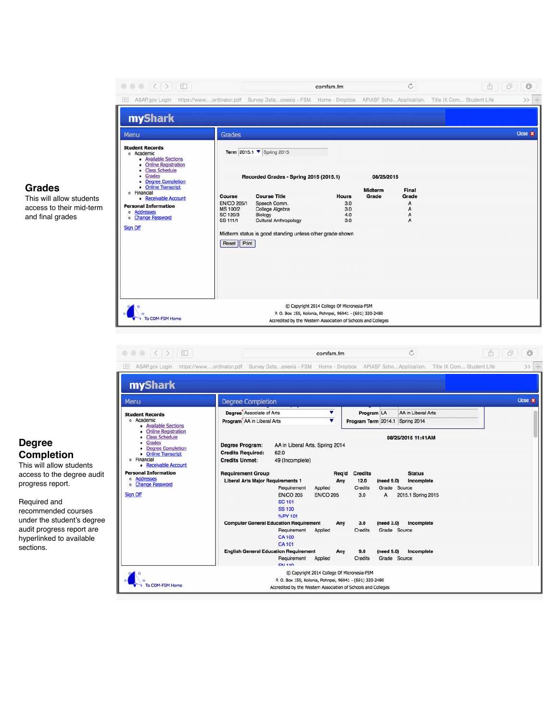

Required and recommended courses under the student's degree audit progress report are hyperlinked to available sections.

o Addresses<br>o Change Password Liberal Arts Major Require Any  $12.0$  $(need 9.0)$ Incomplete Requirement Applied Credits Grade Source Sign Off **EN/CO 205 EN/CO 205**  $3.0$  $\overline{A}$ 2015.1 Spring 2015 **SC 101 SS 130** %PY 101 **Computer General Education Requirement** (need 3.0) Incomplete Any  $3.0$ Credits Grade Source Requirement Applied **CA100 CA 101 English General Education Requirement** (need 9.0) Incomplete  $9.0$ Any Requirement Applied Credits Grade Source ENL 110 C Copyright 2014 College Of Micronesia-FSM P. O. Box 159, Kolonia, Pohnpei, 96941 - (691) 320-2480 To COM-FSM Home Accredited by the Western Association of Schools and Colleges